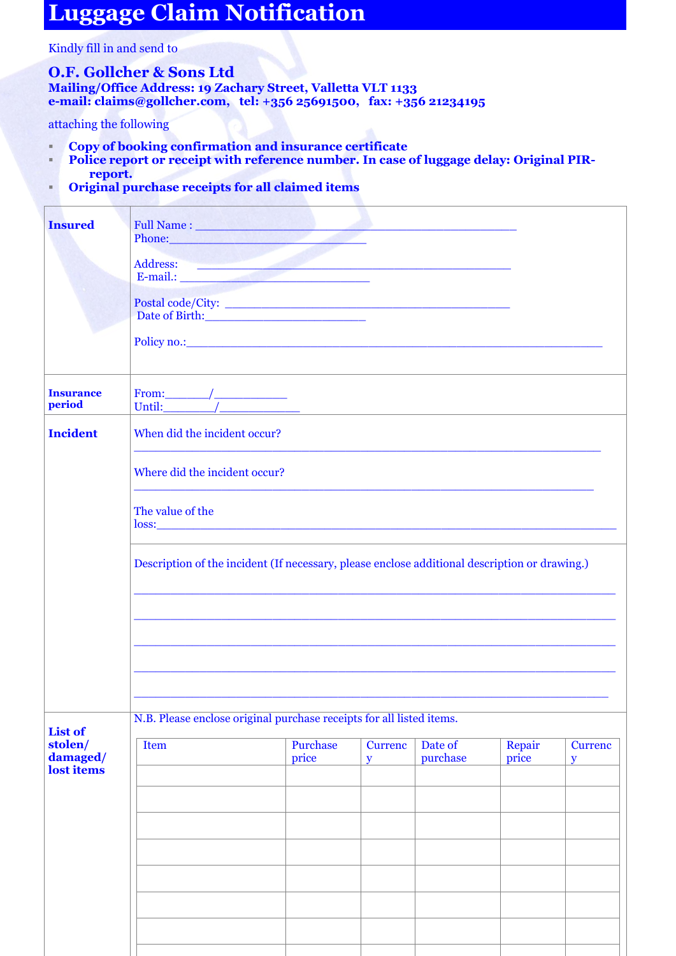## **Luggage Claim Notification**

Kindly fill in and send to

## **O.F. Gollcher & Sons Ltd**

**Mailing/Office Address: 19 Zachary Street, Valletta VLT 1133 e-mail: [claims@gollcher.com,](mailto:claims@gollcher.com) tel: +356 25691500, fax: +356 21234195**

attaching the following

- **Copy of booking confirmation and insurance certificate**
- **Police report or receipt with reference number. In case of luggage delay: Original PIRreport.**
- **Original purchase receipts for all claimed items**

| <b>Insured</b>                    | Full Name : New York 1988                                                                                                                                                                                                      |                   |                                |                     |                 |                                |  |
|-----------------------------------|--------------------------------------------------------------------------------------------------------------------------------------------------------------------------------------------------------------------------------|-------------------|--------------------------------|---------------------|-----------------|--------------------------------|--|
|                                   | Phone: The Commission of the Commission of the Commission of the Commission of the Commission of the Commission                                                                                                                |                   |                                |                     |                 |                                |  |
|                                   | Address: E-mail.:                                                                                                                                                                                                              |                   |                                |                     |                 |                                |  |
|                                   | Postal code/City:<br>Date of Birth: New York 1988                                                                                                                                                                              |                   |                                |                     |                 |                                |  |
|                                   | Policy no.: 2008. The contract of the contract of the contract of the contract of the contract of the contract of the contract of the contract of the contract of the contract of the contract of the contract of the contract |                   |                                |                     |                 |                                |  |
| <b>Insurance</b><br>period        |                                                                                                                                                                                                                                |                   |                                |                     |                 |                                |  |
| <b>Incident</b>                   | When did the incident occur?                                                                                                                                                                                                   |                   |                                |                     |                 |                                |  |
|                                   | Where did the incident occur?                                                                                                                                                                                                  |                   |                                |                     |                 |                                |  |
|                                   | The value of the                                                                                                                                                                                                               |                   |                                |                     |                 |                                |  |
|                                   | Description of the incident (If necessary, please enclose additional description or drawing.)                                                                                                                                  |                   |                                |                     |                 |                                |  |
|                                   |                                                                                                                                                                                                                                |                   |                                |                     |                 |                                |  |
|                                   |                                                                                                                                                                                                                                |                   |                                |                     |                 |                                |  |
|                                   | <u> 1989 - Jan Barbara, margaret al II-lea (h. 1989).</u>                                                                                                                                                                      |                   |                                |                     |                 |                                |  |
| <b>List of</b>                    | N.B. Please enclose original purchase receipts for all listed items.                                                                                                                                                           |                   |                                |                     |                 |                                |  |
| stolen/<br>damaged/<br>lost items | <b>Item</b>                                                                                                                                                                                                                    | Purchase<br>price | <b>Currenc</b><br>$\mathbf{y}$ | Date of<br>purchase | Repair<br>price | <b>Currenc</b><br>$\mathbf{y}$ |  |
|                                   |                                                                                                                                                                                                                                |                   |                                |                     |                 |                                |  |
|                                   |                                                                                                                                                                                                                                |                   |                                |                     |                 |                                |  |
|                                   |                                                                                                                                                                                                                                |                   |                                |                     |                 |                                |  |
|                                   |                                                                                                                                                                                                                                |                   |                                |                     |                 |                                |  |
|                                   |                                                                                                                                                                                                                                |                   |                                |                     |                 |                                |  |